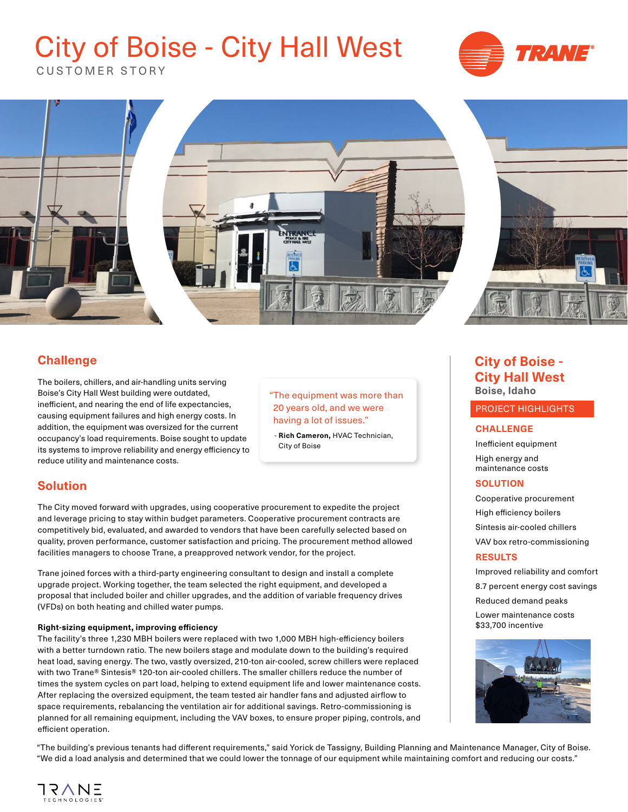# City of Boise - City Hall West



CUSTOMER STORY



# **Challenge**

The boilers, chillers, and air-handling units serving Boise's City Hall West building were outdated, inefficient, and nearing the end of life expectancies, causing equipment failures and high energy costs. In addition, the equipment was oversized for the current occupancy's load requirements. Boise sought to update its systems to improve reliability and energy efficiency to reduce utility and maintenance costs.

#### **Boise, Idaho** "The equipment was more than 20 years old, and we were having a lot of issues."

 - **Rich Cameron,** HVAC Technician, City of Boise

### **Solution**

The City moved forward with upgrades, using cooperative procurement to expedite the project and leverage pricing to stay within budget parameters. Cooperative procurement contracts are competitively bid, evaluated, and awarded to vendors that have been carefully selected based on quality, proven performance, customer satisfaction and pricing. The procurement method allowed facilities managers to choose Trane, a preapproved network vendor, for the project.

Trane joined forces with a third-party engineering consultant to design and install a complete upgrade project. Working together, the team selected the right equipment, and developed a proposal that included boiler and chiller upgrades, and the addition of variable frequency drives (VFDs) on both heating and chilled water pumps.

#### **Right-sizing equipment, improving efficiency**

The facility's three 1,230 MBH boilers were replaced with two 1,000 MBH high-efficiency boilers with a better turndown ratio. The new boilers stage and modulate down to the building's required heat load, saving energy. The two, vastly oversized, 210-ton air-cooled, screw chillers were replaced with two Trane® Sintesis® 120-ton air-cooled chillers. The smaller chillers reduce the number of times the system cycles on part load, helping to extend equipment life and lower maintenance costs. After replacing the oversized equipment, the team tested air handler fans and adjusted airflow to space requirements, rebalancing the ventilation air for additional savings. Retro-commissioning is planned for all remaining equipment, including the VAV boxes, to ensure proper piping, controls, and efficient operation.

**City of Boise - City Hall West** 

#### PROJECT HIGHLIGHTS

#### **CHALLENGE**

Inefficient equipment High energy and maintenance costs

#### **SOLUTION**

Cooperative procurement High efficiency boilers Sintesis air-cooled chillers VAV box retro-commissioning

#### **RESULTS**

Improved reliability and comfort 8.7 percent energy cost savings Reduced demand peaks Lower maintenance costs \$33,700 incentive



"The building's previous tenants had different requirements," said Yorick de Tassigny, Building Planning and Maintenance Manager, City of Boise. "We did a load analysis and determined that we could lower the tonnage of our equipment while maintaining comfort and reducing our costs."